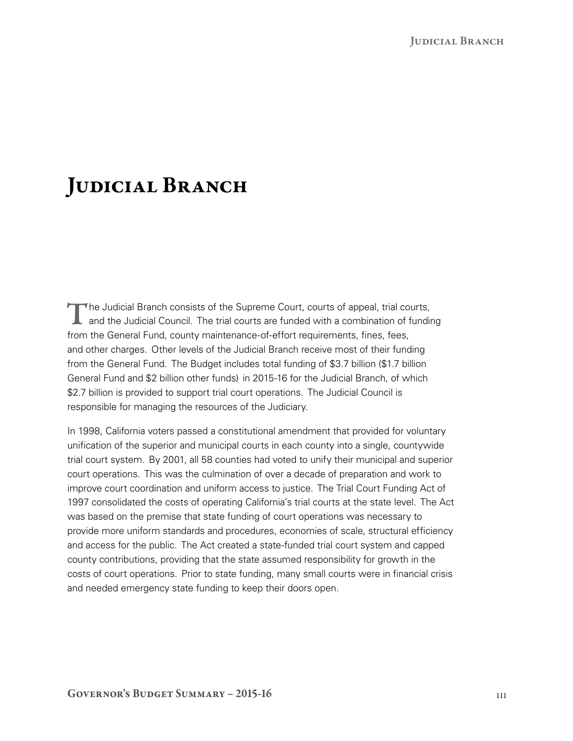## JUDICIAL BRANCH

The Judicial Branch consists of the Supreme Court, courts of appeal, trial courts,<br>and the Judicial Council. The trial courts are funded with a combination of funding from the General Fund, county maintenance-of-effort requirements, fines, fees, and other charges. Other levels of the Judicial Branch receive most of their funding from the General Fund. The Budget includes total funding of \$3.7 billion (\$1.7 billion General Fund and \$2 billion other funds) in 2015‑16 for the Judicial Branch, of which \$2.7 billion is provided to support trial court operations. The Judicial Council is responsible for managing the resources of the Judiciary.

In 1998, California voters passed a constitutional amendment that provided for voluntary unification of the superior and municipal courts in each county into a single, countywide trial court system. By 2001, all 58 counties had voted to unify their municipal and superior court operations. This was the culmination of over a decade of preparation and work to improve court coordination and uniform access to justice. The Trial Court Funding Act of 1997 consolidated the costs of operating California's trial courts at the state level. The Act was based on the premise that state funding of court operations was necessary to provide more uniform standards and procedures, economies of scale, structural efficiency and access for the public. The Act created a state-funded trial court system and capped county contributions, providing that the state assumed responsibility for growth in the costs of court operations. Prior to state funding, many small courts were in financial crisis and needed emergency state funding to keep their doors open.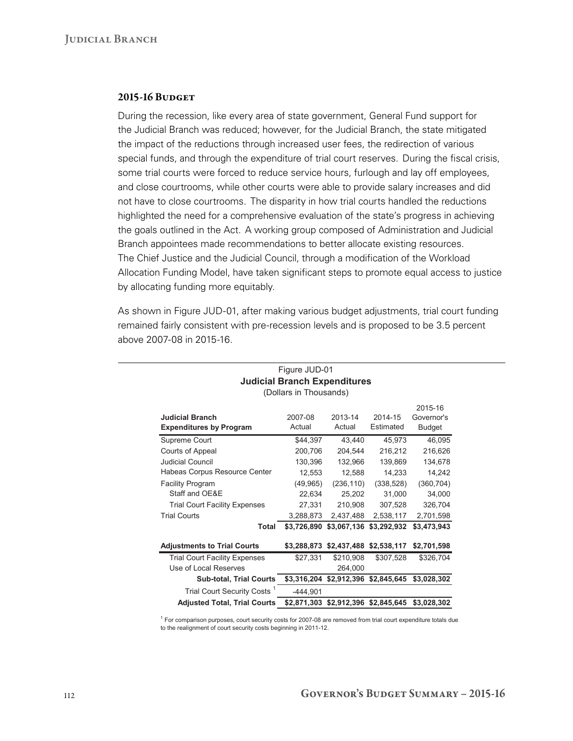## 2015-16 BUDGET

During the recession, like every area of state government, General Fund support for the Judicial Branch was reduced; however, for the Judicial Branch, the state mitigated the impact of the reductions through increased user fees, the redirection of various special funds, and through the expenditure of trial court reserves. During the fiscal crisis, some trial courts were forced to reduce service hours, furlough and lay off employees, and close courtrooms, while other courts were able to provide salary increases and did not have to close courtrooms. The disparity in how trial courts handled the reductions highlighted the need for a comprehensive evaluation of the state's progress in achieving the goals outlined in the Act. A working group composed of Administration and Judicial Branch appointees made recommendations to better allocate existing resources. The Chief Justice and the Judicial Council, through a modification of the Workload Allocation Funding Model, have taken significant steps to promote equal access to justice by allocating funding more equitably.

As shown in Figure JUD‑01, after making various budget adjustments, trial court funding remained fairly consistent with pre‑recession levels and is proposed to be 3.5 percent above 2007‑08 in 2015‑16.

| <b>Judicial Branch</b><br><b>Expenditures by Program</b> | 2007-08<br>Actual | 2013-14<br>Actual | 2014-15<br>Estimated    | 2015-16<br>Governor's<br><b>Budget</b> |
|----------------------------------------------------------|-------------------|-------------------|-------------------------|----------------------------------------|
| Supreme Court                                            | \$44,397          | 43,440            | 45,973                  | 46,095                                 |
| Courts of Appeal                                         | 200,706           | 204,544           | 216,212                 | 216,626                                |
| <b>Judicial Council</b>                                  | 130,396           | 132,966           | 139,869                 | 134,678                                |
| Habeas Corpus Resource Center                            | 12,553            | 12,588            | 14,233                  | 14,242                                 |
| <b>Facility Program</b>                                  | (49, 965)         | (236, 110)        | (338, 528)              | (360, 704)                             |
| Staff and OE&E                                           | 22,634            | 25,202            | 31,000                  | 34,000                                 |
| <b>Trial Court Facility Expenses</b>                     | 27,331            | 210,908           | 307,528                 | 326,704                                |
| <b>Trial Courts</b>                                      | 3,288,873         | 2,437,488         | 2,538,117               | 2,701,598                              |
| Total                                                    | \$3,726,890       | \$3,067,136       | \$3,292,932             | \$3,473,943                            |
| <b>Adjustments to Trial Courts</b>                       | \$3,288,873       | \$2,437,488       | \$2,538,117             | \$2,701,598                            |
| <b>Trial Court Facility Expenses</b>                     | \$27,331          | \$210,908         | \$307,528               | \$326,704                              |
| Use of Local Reserves                                    |                   | 264,000           |                         |                                        |
| <b>Sub-total, Trial Courts</b>                           | \$3,316,204       | \$2,912,396       | \$2,845,645             | \$3,028,302                            |
| Trial Court Security Costs <sup>1</sup>                  | $-444,901$        |                   |                         |                                        |
| <b>Adjusted Total, Trial Courts</b>                      | \$2,871,303       |                   | \$2,912,396 \$2,845,645 | \$3,028,302                            |

## Figure JUD-01 **Judicial Branch Expenditures**  (Dollars in Thousands)

<sup>1</sup> For comparison purposes, court security costs for 2007-08 are removed from trial court expenditure totals due to the realignment of court security costs beginning in 2011-12.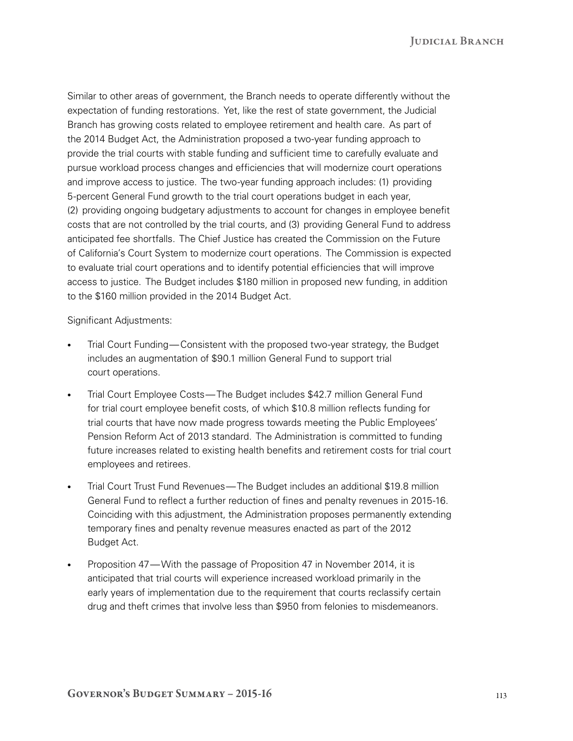JUDICIAL BRANCH

Similar to other areas of government, the Branch needs to operate differently without the expectation of funding restorations. Yet, like the rest of state government, the Judicial Branch has growing costs related to employee retirement and health care. As part of the 2014 Budget Act, the Administration proposed a two-year funding approach to provide the trial courts with stable funding and sufficient time to carefully evaluate and pursue workload process changes and efficiencies that will modernize court operations and improve access to justice. The two-year funding approach includes: (1) providing 5‑percent General Fund growth to the trial court operations budget in each year, (2) providing ongoing budgetary adjustments to account for changes in employee benefit costs that are not controlled by the trial courts, and (3) providing General Fund to address anticipated fee shortfalls. The Chief Justice has created the Commission on the Future of California's Court System to modernize court operations. The Commission is expected to evaluate trial court operations and to identify potential efficiencies that will improve access to justice. The Budget includes \$180 million in proposed new funding, in addition to the \$160 million provided in the 2014 Budget Act.

Significant Adjustments:

- Trial Court Funding—Consistent with the proposed two-year strategy, the Budget includes an augmentation of \$90.1 million General Fund to support trial court operations.
- Trial Court Employee Costs—The Budget includes \$42.7 million General Fund for trial court employee benefit costs, of which \$10.8 million reflects funding for trial courts that have now made progress towards meeting the Public Employees' Pension Reform Act of 2013 standard. The Administration is committed to funding future increases related to existing health benefits and retirement costs for trial court employees and retirees.
- Trial Court Trust Fund Revenues—The Budget includes an additional \$19.8 million General Fund to reflect a further reduction of fines and penalty revenues in 2015‑16. Coinciding with this adjustment, the Administration proposes permanently extending temporary fines and penalty revenue measures enacted as part of the 2012 Budget Act.
- Proposition 47—With the passage of Proposition 47 in November 2014, it is anticipated that trial courts will experience increased workload primarily in the early years of implementation due to the requirement that courts reclassify certain drug and theft crimes that involve less than \$950 from felonies to misdemeanors.